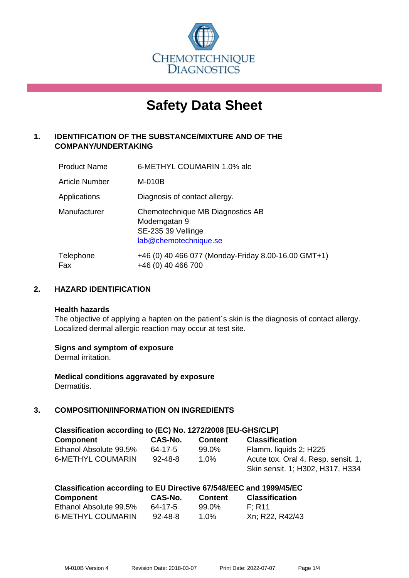

# **Safety Data Sheet**

# **1. IDENTIFICATION OF THE SUBSTANCE/MIXTURE AND OF THE COMPANY/UNDERTAKING**

| <b>Product Name</b> | 6-METHYL COUMARIN 1.0% alc                                                                      |
|---------------------|-------------------------------------------------------------------------------------------------|
| Article Number      | M-010B                                                                                          |
| Applications        | Diagnosis of contact allergy.                                                                   |
| Manufacturer        | Chemotechnique MB Diagnostics AB<br>Modemgatan 9<br>SE-235 39 Vellinge<br>lab@chemotechnique.se |
| Telephone<br>Fax    | +46 (0) 40 466 077 (Monday-Friday 8.00-16.00 GMT+1)<br>+46 (0) 40 466 700                       |

# **2. HAZARD IDENTIFICATION**

#### **Health hazards**

The objective of applying a hapten on the patient's skin is the diagnosis of contact allergy. Localized dermal allergic reaction may occur at test site.

#### **Signs and symptom of exposure**

Dermal irritation.

**Medical conditions aggravated by exposure** Dermatitis.

# **3. COMPOSITION/INFORMATION ON INGREDIENTS**

| Classification according to (EC) No. 1272/2008 [EU-GHS/CLP] |               |                |                                     |  |
|-------------------------------------------------------------|---------------|----------------|-------------------------------------|--|
| <b>Component</b>                                            | CAS-No.       | <b>Content</b> | <b>Classification</b>               |  |
| Ethanol Absolute 99.5%                                      | 64-17-5       | 99.0%          | Flamm. liquids 2; H225              |  |
| <b>6-METHYL COUMARIN</b>                                    | $92 - 48 - 8$ | $1.0\%$        | Acute tox. Oral 4, Resp. sensit. 1, |  |
|                                                             |               |                | Skin sensit. 1; H302, H317, H334    |  |

| Classification according to EU Directive 67/548/EEC and 1999/45/EC |               |                |                       |
|--------------------------------------------------------------------|---------------|----------------|-----------------------|
| Component                                                          | CAS-No.       | <b>Content</b> | <b>Classification</b> |
| Ethanol Absolute 99.5%                                             | 64-17-5       | 99.0%          | F: R11                |
| <b>6-METHYL COUMARIN</b>                                           | $92 - 48 - 8$ | $1.0\%$        | Xn; R22, R42/43       |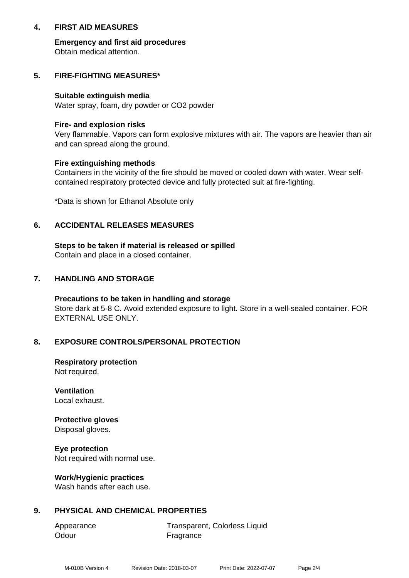## **4. FIRST AID MEASURES**

**Emergency and first aid procedures** Obtain medical attention.

## **5. FIRE-FIGHTING MEASURES\***

#### **Suitable extinguish media**

Water spray, foam, dry powder or CO2 powder

#### **Fire- and explosion risks**

Very flammable. Vapors can form explosive mixtures with air. The vapors are heavier than air and can spread along the ground.

#### **Fire extinguishing methods**

Containers in the vicinity of the fire should be moved or cooled down with water. Wear selfcontained respiratory protected device and fully protected suit at fire-fighting.

\*Data is shown for Ethanol Absolute only

# **6. ACCIDENTAL RELEASES MEASURES**

**Steps to be taken if material is released or spilled** Contain and place in a closed container.

# **7. HANDLING AND STORAGE**

**Precautions to be taken in handling and storage** Store dark at 5-8 C. Avoid extended exposure to light. Store in a well-sealed container. FOR EXTERNAL USE ONLY.

#### **8. EXPOSURE CONTROLS/PERSONAL PROTECTION**

**Respiratory protection** Not required.

**Ventilation** Local exhaust.

**Protective gloves** Disposal gloves.

**Eye protection** Not required with normal use.

#### **Work/Hygienic practices**

Wash hands after each use.

#### **9. PHYSICAL AND CHEMICAL PROPERTIES**

Odour **Fragrance** 

Appearance Transparent, Colorless Liquid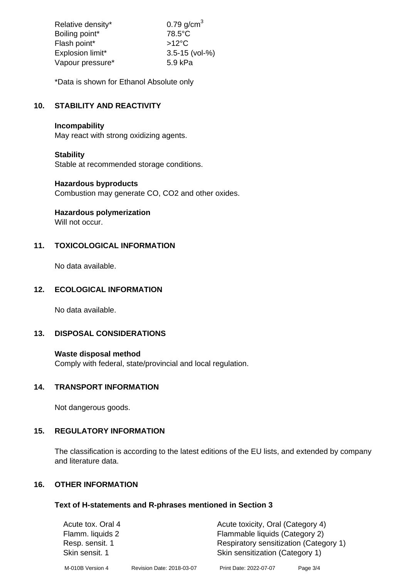| Relative density* | $0.79$ g/cm <sup>3</sup> |
|-------------------|--------------------------|
| Boiling point*    | $78.5^{\circ}$ C         |
| Flash point*      | $>12^{\circ}$ C          |
| Explosion limit*  | $3.5 - 15$ (vol-%)       |
| Vapour pressure*  | 5.9 kPa                  |

\*Data is shown for Ethanol Absolute only

# **10. STABILITY AND REACTIVITY**

## **Incompability**

May react with strong oxidizing agents.

# **Stability**

Stable at recommended storage conditions.

#### **Hazardous byproducts**

Combustion may generate CO, CO2 and other oxides.

**Hazardous polymerization**

Will not occur.

# **11. TOXICOLOGICAL INFORMATION**

No data available.

# **12. ECOLOGICAL INFORMATION**

No data available.

#### **13. DISPOSAL CONSIDERATIONS**

#### **Waste disposal method**

Comply with federal, state/provincial and local regulation.

# **14. TRANSPORT INFORMATION**

Not dangerous goods.

# **15. REGULATORY INFORMATION**

The classification is according to the latest editions of the EU lists, and extended by company and literature data.

## **16. OTHER INFORMATION**

#### **Text of H-statements and R-phrases mentioned in Section 3**

| Acute tox. Oral 4 |                           | Acute toxicity, Oral (Category 4)      |          |
|-------------------|---------------------------|----------------------------------------|----------|
| Flamm. liquids 2  |                           | Flammable liquids (Category 2)         |          |
| Resp. sensit. 1   |                           | Respiratory sensitization (Category 1) |          |
| Skin sensit. 1    |                           | Skin sensitization (Category 1)        |          |
| M-010B Version 4  | Revision Date: 2018-03-07 | Print Date: 2022-07-07                 | Page 3/4 |